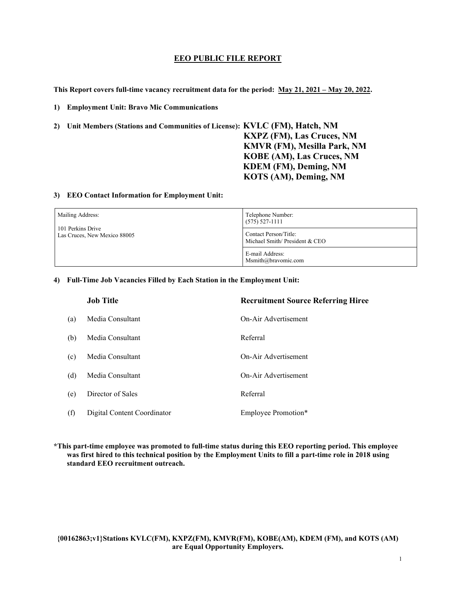#### **EEO PUBLIC FILE REPORT**

**This Report covers full-time vacancy recruitment data for the period: May 21, 2021 – May 20, 2022.** 

**1) Employment Unit: Bravo Mic Communications**

**2) Unit Members (Stations and Communities of License): KVLC (FM), Hatch, NM KXPZ (FM), Las Cruces, NM KMVR (FM), Mesilla Park, NM KOBE (AM), Las Cruces, NM KDEM (FM), Deming, NM KOTS (AM), Deming, NM**

#### **3) EEO Contact Information for Employment Unit:**

| Mailing Address:                                  | Telephone Number:<br>$(575)$ 527-1111                  |
|---------------------------------------------------|--------------------------------------------------------|
| 101 Perkins Drive<br>Las Cruces, New Mexico 88005 | Contact Person/Title:<br>Michael Smith/President & CEO |
|                                                   | E-mail Address:<br>Msmith@bravomic.com                 |

#### **4) Full-Time Job Vacancies Filled by Each Station in the Employment Unit:**

|     | <b>Job Title</b>            | <b>Recruitment Source Referring Hiree</b> |
|-----|-----------------------------|-------------------------------------------|
| (a) | Media Consultant            | On-Air Advertisement                      |
| (b) | Media Consultant            | Referral                                  |
| (c) | Media Consultant            | On-Air Advertisement                      |
| (d) | Media Consultant            | On-Air Advertisement                      |
| (e) | Director of Sales           | Referral                                  |
| (f) | Digital Content Coordinator | Employee Promotion*                       |

**\*This part-time employee was promoted to full-time status during this EEO reporting period. This employee was first hired to this technical position by the Employment Units to fill a part-time role in 2018 using standard EEO recruitment outreach.**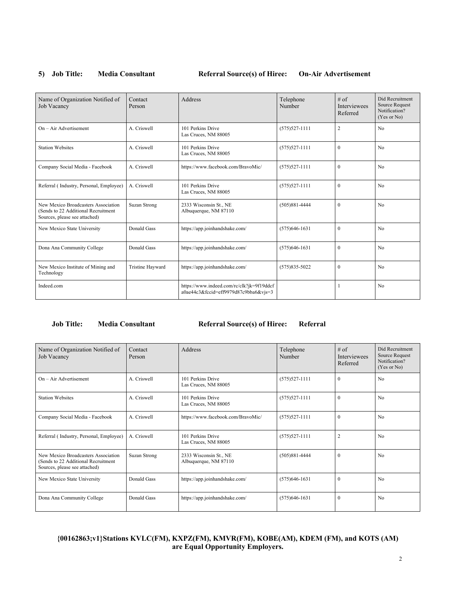#### 5) **Job Title:** Media Consultant Referral Source(s) of Hiree: On-Air Advertisement

| Name of Organization Notified of<br>Job Vacancy                                                             | Contact<br>Person | Address                                                                            | Telephone<br>Number | # of<br><b>Interviewees</b><br>Referred | Did Recruitment<br>Source Request<br>Notification?<br>(Yes or No) |
|-------------------------------------------------------------------------------------------------------------|-------------------|------------------------------------------------------------------------------------|---------------------|-----------------------------------------|-------------------------------------------------------------------|
| $On - Air$ Advertisement                                                                                    | A. Criswell       | 101 Perkins Drive<br>Las Cruces, NM 88005                                          | $(575)527 - 1111$   | $\overline{2}$                          | N <sub>0</sub>                                                    |
| <b>Station Websites</b>                                                                                     | A. Criswell       | 101 Perkins Drive<br>Las Cruces, NM 88005                                          | $(575)527 - 1111$   | $\theta$                                | N <sub>0</sub>                                                    |
| Company Social Media - Facebook                                                                             | A. Criswell       | https://www.facebook.com/BravoMic/                                                 | $(575)527 - 1111$   | $\mathbf{0}$                            | N <sub>0</sub>                                                    |
| Referral (Industry, Personal, Employee)                                                                     | A. Criswell       | 101 Perkins Drive<br>Las Cruces, NM 88005                                          | $(575)527 - 1111$   | $\theta$                                | N <sub>0</sub>                                                    |
| New Mexico Broadcasters Association<br>(Sends to 22 Additional Recruitment<br>Sources, please see attached) | Suzan Strong      | 2333 Wisconsin St., NE<br>Albuquerque, NM 87110                                    | $(505)881 - 4444$   | $\theta$                                | N <sub>0</sub>                                                    |
| New Mexico State University                                                                                 | Donald Gass       | https://app.joinhandshake.com/                                                     | $(575)646 - 1631$   | $\mathbf{0}$                            | N <sub>0</sub>                                                    |
| Dona Ana Community College                                                                                  | Donald Gass       | https://app.joinhandshake.com/                                                     | $(575)646-1631$     | $\theta$                                | N <sub>0</sub>                                                    |
| New Mexico Institute of Mining and<br>Technology                                                            | Tristine Hayward  | https://app.joinhandshake.com/                                                     | $(575)835 - 5022$   | $\theta$                                | N <sub>0</sub>                                                    |
| Indeed.com                                                                                                  |                   | https://www.indeed.com/rc/clk?jk=9f19ddcf<br>a0ae44c3&fccid=eff9979d87c9bba6&vjs=3 |                     |                                         | N <sub>0</sub>                                                    |

#### **Job Title: Media Consultant Referral Source(s) of Hiree: Referral**

| Name of Organization Notified of<br>Job Vacancy                                                             | Contact<br>Person | Address                                         | Telephone<br>Number | $#$ of<br><b>Interviewees</b><br>Referred | Did Recruitment<br>Source Request<br>Notification?<br>(Yes or No) |
|-------------------------------------------------------------------------------------------------------------|-------------------|-------------------------------------------------|---------------------|-------------------------------------------|-------------------------------------------------------------------|
| $On - Air$ Advertisement                                                                                    | A. Criswell       | 101 Perkins Drive<br>Las Cruces, NM 88005       | $(575)527 - 1111$   | $\mathbf{0}$                              | No                                                                |
| <b>Station Websites</b>                                                                                     | A. Criswell       | 101 Perkins Drive<br>Las Cruces, NM 88005       | $(575)527 - 1111$   | $\theta$                                  | No                                                                |
| Company Social Media - Facebook                                                                             | A. Criswell       | https://www.facebook.com/BravoMic/              | $(575)527 - 1111$   | $\theta$                                  | N <sub>0</sub>                                                    |
| Referral (Industry, Personal, Employee)                                                                     | A. Criswell       | 101 Perkins Drive<br>Las Cruces, NM 88005       | $(575)527 - 1111$   | $\overline{2}$                            | N <sub>0</sub>                                                    |
| New Mexico Broadcasters Association<br>(Sends to 22 Additional Recruitment<br>Sources, please see attached) | Suzan Strong      | 2333 Wisconsin St., NE<br>Albuquerque, NM 87110 | $(505)881 - 4444$   | $\mathbf{0}$                              | N <sub>0</sub>                                                    |
| New Mexico State University                                                                                 | Donald Gass       | https://app.joinhandshake.com/                  | $(575)646 - 1631$   | $\Omega$                                  | No                                                                |
| Dona Ana Community College                                                                                  | Donald Gass       | https://app.joinhandshake.com/                  | $(575)646-1631$     | $\mathbf{0}$                              | No                                                                |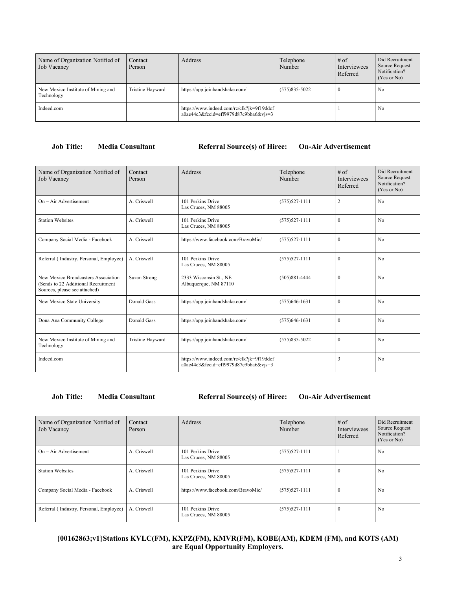| Name of Organization Notified of<br>Job Vacancy  | Contact<br>Person | Address                                                                              | Telephone<br>Number | $#$ of<br>Interviewees<br>Referred | Did Recruitment<br>Source Request<br>Notification?<br>(Yes or No) |
|--------------------------------------------------|-------------------|--------------------------------------------------------------------------------------|---------------------|------------------------------------|-------------------------------------------------------------------|
| New Mexico Institute of Mining and<br>Technology | Tristine Hayward  | https://app.joinhandshake.com/                                                       | $(575)835 - 5022$   |                                    | No                                                                |
| Indeed.com                                       |                   | https://www.indeed.com/rc/clk?jk=9f19ddcf<br>$a0ae44c3&fccid=eff9979d87c9bba6&vjs=3$ |                     |                                    | No                                                                |

#### **Job Title: Media Consultant Referral Source(s) of Hiree: On-Air Advertisement**

| Name of Organization Notified of<br><b>Job Vacancy</b>                                                      | Contact<br>Person       | Address                                                                            | Telephone<br>Number | $#$ of<br><b>Interviewees</b><br>Referred | Did Recruitment<br>Source Request<br>Notification?<br>(Yes or No) |
|-------------------------------------------------------------------------------------------------------------|-------------------------|------------------------------------------------------------------------------------|---------------------|-------------------------------------------|-------------------------------------------------------------------|
| $On - Air$ Advertisement                                                                                    | A. Criswell             | 101 Perkins Drive<br>Las Cruces, NM 88005                                          | $(575)527 - 1111$   | $\overline{2}$                            | No                                                                |
| <b>Station Websites</b>                                                                                     | A. Criswell             | 101 Perkins Drive<br>Las Cruces, NM 88005                                          | $(575)527 - 1111$   | $\theta$                                  | N <sub>0</sub>                                                    |
| Company Social Media - Facebook                                                                             | A. Criswell             | https://www.facebook.com/BravoMic/                                                 | $(575)527 - 1111$   | $\theta$                                  | No                                                                |
| Referral (Industry, Personal, Employee)                                                                     | A. Criswell             | 101 Perkins Drive<br>Las Cruces, NM 88005                                          | $(575)527 - 1111$   | $\theta$                                  | N <sub>o</sub>                                                    |
| New Mexico Broadcasters Association<br>(Sends to 22 Additional Recruitment<br>Sources, please see attached) | <b>Suzan Strong</b>     | 2333 Wisconsin St., NE<br>Albuquerque, NM 87110                                    | $(505)881 - 4444$   | $\Omega$                                  | N <sub>o</sub>                                                    |
| New Mexico State University                                                                                 | Donald Gass             | https://app.joinhandshake.com/                                                     | $(575)646 - 1631$   | $\Omega$                                  | N <sub>0</sub>                                                    |
| Dona Ana Community College                                                                                  | Donald Gass             | https://app.joinhandshake.com/                                                     | $(575)646-1631$     | $\mathbf{0}$                              | N <sub>0</sub>                                                    |
| New Mexico Institute of Mining and<br>Technology                                                            | <b>Tristine Hayward</b> | https://app.joinhandshake.com/                                                     | $(575)835 - 5022$   | $\theta$                                  | N <sub>o</sub>                                                    |
| Indeed.com                                                                                                  |                         | https://www.indeed.com/rc/clk?jk=9f19ddcf<br>a0ae44c3&fccid=eff9979d87c9bba6&vjs=3 |                     | 3                                         | N <sub>0</sub>                                                    |

#### **Job Title: Media Consultant Referral Source(s) of Hiree: On-Air Advertisement**

| Name of Organization Notified of<br>Job Vacancy | Contact<br>Person | Address                                   | Telephone<br>Number | # of<br><b>Interviewees</b><br>Referred | Did Recruitment<br>Source Request<br>Notification?<br>(Yes or No) |
|-------------------------------------------------|-------------------|-------------------------------------------|---------------------|-----------------------------------------|-------------------------------------------------------------------|
| $On - Air Advertisement$                        | A. Criswell       | 101 Perkins Drive<br>Las Cruces, NM 88005 | $(575)527-1111$     |                                         | No                                                                |
| <b>Station Websites</b>                         | A. Criswell       | 101 Perkins Drive<br>Las Cruces, NM 88005 | $(575)527-1111$     |                                         | No                                                                |
| Company Social Media - Facebook                 | A. Criswell       | https://www.facebook.com/BravoMic/        | $(575)527-1111$     |                                         | No                                                                |
| Referral (Industry, Personal, Employee)         | A. Criswell       | 101 Perkins Drive<br>Las Cruces, NM 88005 | $(575)527-1111$     | $\Omega$                                | No                                                                |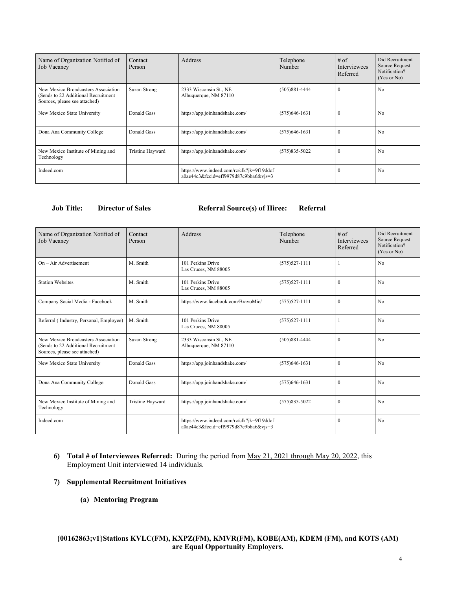| Name of Organization Notified of<br>Job Vacancy                                                             | Contact<br>Person       | Address                                                                            | Telephone<br>Number | $#$ of<br><b>Interviewees</b><br>Referred | Did Recruitment<br>Source Request<br>Notification?<br>(Yes or No) |
|-------------------------------------------------------------------------------------------------------------|-------------------------|------------------------------------------------------------------------------------|---------------------|-------------------------------------------|-------------------------------------------------------------------|
| New Mexico Broadcasters Association<br>(Sends to 22 Additional Recruitment<br>Sources, please see attached) | Suzan Strong            | 2333 Wisconsin St., NE<br>Albuquerque, NM 87110                                    | $(505)881 - 4444$   | $\Omega$                                  | No                                                                |
| New Mexico State University                                                                                 | Donald Gass             | https://app.joinhandshake.com/                                                     | $(575)646-1631$     | 0                                         | N <sub>0</sub>                                                    |
| Dona Ana Community College                                                                                  | Donald Gass             | https://app.joinhandshake.com/                                                     | $(575)646-1631$     |                                           | No                                                                |
| New Mexico Institute of Mining and<br>Technology                                                            | <b>Tristine Hayward</b> | https://app.joinhandshake.com/                                                     | $(575)835 - 5022$   |                                           | N <sub>0</sub>                                                    |
| Indeed.com                                                                                                  |                         | https://www.indeed.com/rc/clk?jk=9f19ddcf<br>a0ae44c3&fccid=eff9979d87c9bba6&vjs=3 |                     |                                           | No                                                                |

#### **Job Title: Director of Sales Referral Source(s) of Hiree: Referral**

| Name of Organization Notified of<br><b>Job Vacancy</b>                                                      | Contact<br>Person       | Address                                                                            | Telephone<br>Number | $#$ of<br><b>Interviewees</b><br>Referred | Did Recruitment<br>Source Request<br>Notification?<br>(Yes or No) |
|-------------------------------------------------------------------------------------------------------------|-------------------------|------------------------------------------------------------------------------------|---------------------|-------------------------------------------|-------------------------------------------------------------------|
| $On - Air$ Advertisement                                                                                    | M. Smith                | 101 Perkins Drive<br>Las Cruces, NM 88005                                          | $(575)527 - 1111$   |                                           | No                                                                |
| <b>Station Websites</b>                                                                                     | M. Smith                | 101 Perkins Drive<br>Las Cruces, NM 88005                                          | $(575)527 - 1111$   | $\mathbf{0}$                              | No                                                                |
| Company Social Media - Facebook                                                                             | M. Smith                | https://www.facebook.com/BravoMic/                                                 | $(575)527 - 1111$   | $\Omega$                                  | No                                                                |
| Referral (Industry, Personal, Employee)                                                                     | M. Smith                | 101 Perkins Drive<br>Las Cruces, NM 88005                                          | $(575)527 - 1111$   |                                           | No                                                                |
| New Mexico Broadcasters Association<br>(Sends to 22 Additional Recruitment<br>Sources, please see attached) | Suzan Strong            | 2333 Wisconsin St., NE<br>Albuquerque, NM 87110                                    | $(505)881 - 4444$   | $\theta$                                  | No                                                                |
| New Mexico State University                                                                                 | Donald Gass             | https://app.joinhandshake.com/                                                     | $(575)646-1631$     | $\theta$                                  | No                                                                |
| Dona Ana Community College                                                                                  | Donald Gass             | https://app.joinhandshake.com/                                                     | $(575)646-1631$     | $\theta$                                  | N <sub>0</sub>                                                    |
| New Mexico Institute of Mining and<br>Technology                                                            | <b>Tristine Hayward</b> | https://app.joinhandshake.com/                                                     | $(575)835 - 5022$   | $\theta$                                  | No                                                                |
| Indeed.com                                                                                                  |                         | https://www.indeed.com/rc/clk?jk=9f19ddcf<br>a0ae44c3&fccid=eff9979d87c9bba6&vjs=3 |                     | $\theta$                                  | No                                                                |

**6) Total # of Interviewees Referred:** During the period from May 21, 2021 through May 20, 2022, this Employment Unit interviewed 14 individuals.

#### **7) Supplemental Recruitment Initiatives**

**(a) Mentoring Program**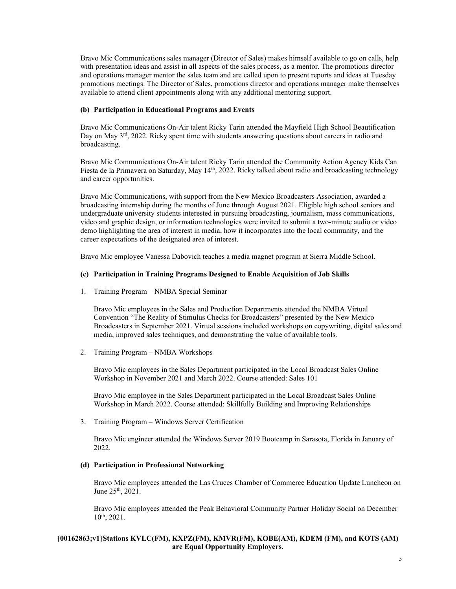Bravo Mic Communications sales manager (Director of Sales) makes himself available to go on calls, help with presentation ideas and assist in all aspects of the sales process, as a mentor. The promotions director and operations manager mentor the sales team and are called upon to present reports and ideas at Tuesday promotions meetings. The Director of Sales, promotions director and operations manager make themselves available to attend client appointments along with any additional mentoring support.

#### **(b) Participation in Educational Programs and Events**

Bravo Mic Communications On-Air talent Ricky Tarin attended the Mayfield High School Beautification Day on May  $3^{rd}$ , 2022. Ricky spent time with students answering questions about careers in radio and broadcasting.

Bravo Mic Communications On-Air talent Ricky Tarin attended the Community Action Agency Kids Can Fiesta de la Primavera on Saturday, May 14<sup>th</sup>, 2022. Ricky talked about radio and broadcasting technology and career opportunities.

Bravo Mic Communications, with support from the New Mexico Broadcasters Association, awarded a broadcasting internship during the months of June through August 2021. Eligible high school seniors and undergraduate university students interested in pursuing broadcasting, journalism, mass communications, video and graphic design, or information technologies were invited to submit a two-minute audio or video demo highlighting the area of interest in media, how it incorporates into the local community, and the career expectations of the designated area of interest.

Bravo Mic employee Vanessa Dabovich teaches a media magnet program at Sierra Middle School.

#### **(c) Participation in Training Programs Designed to Enable Acquisition of Job Skills**

1. Training Program – NMBA Special Seminar

Bravo Mic employees in the Sales and Production Departments attended the NMBA Virtual Convention "The Reality of Stimulus Checks for Broadcasters" presented by the New Mexico Broadcasters in September 2021. Virtual sessions included workshops on copywriting, digital sales and media, improved sales techniques, and demonstrating the value of available tools.

2. Training Program – NMBA Workshops

Bravo Mic employees in the Sales Department participated in the Local Broadcast Sales Online Workshop in November 2021 and March 2022. Course attended: Sales 101

Bravo Mic employee in the Sales Department participated in the Local Broadcast Sales Online Workshop in March 2022. Course attended: Skillfully Building and Improving Relationships

3. Training Program – Windows Server Certification

Bravo Mic engineer attended the Windows Server 2019 Bootcamp in Sarasota, Florida in January of 2022.

#### **(d) Participation in Professional Networking**

Bravo Mic employees attended the Las Cruces Chamber of Commerce Education Update Luncheon on June 25th, 2021.

Bravo Mic employees attended the Peak Behavioral Community Partner Holiday Social on December 10th, 2021.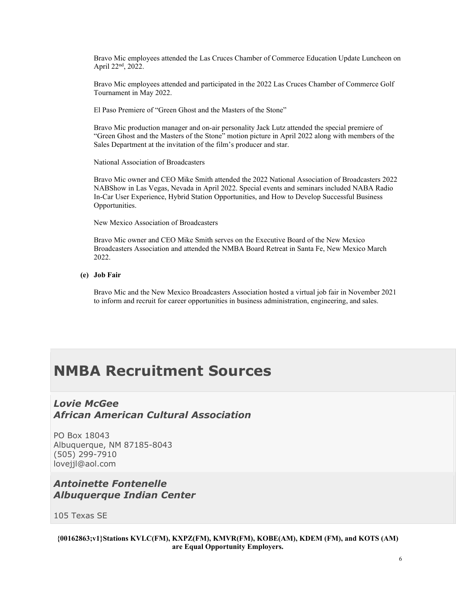Bravo Mic employees attended the Las Cruces Chamber of Commerce Education Update Luncheon on April 22<sup>nd</sup>, 2022.

Bravo Mic employees attended and participated in the 2022 Las Cruces Chamber of Commerce Golf Tournament in May 2022.

El Paso Premiere of "Green Ghost and the Masters of the Stone"

Bravo Mic production manager and on-air personality Jack Lutz attended the special premiere of "Green Ghost and the Masters of the Stone" motion picture in April 2022 along with members of the Sales Department at the invitation of the film's producer and star.

National Association of Broadcasters

Bravo Mic owner and CEO Mike Smith attended the 2022 National Association of Broadcasters 2022 NABShow in Las Vegas, Nevada in April 2022. Special events and seminars included NABA Radio In-Car User Experience, Hybrid Station Opportunities, and How to Develop Successful Business Opportunities.

New Mexico Association of Broadcasters

Bravo Mic owner and CEO Mike Smith serves on the Executive Board of the New Mexico Broadcasters Association and attended the NMBA Board Retreat in Santa Fe, New Mexico March 2022.

**(e) Job Fair**

Bravo Mic and the New Mexico Broadcasters Association hosted a virtual job fair in November 2021 to inform and recruit for career opportunities in business administration, engineering, and sales.

# **NMBA Recruitment Sources**

## *Lovie McGee African American Cultural Association*

PO Box 18043 Albuquerque, NM 87185-8043 (505) 299-7910 lovejjl@aol.com

## *Antoinette Fontenelle Albuquerque Indian Center*

105 Texas SE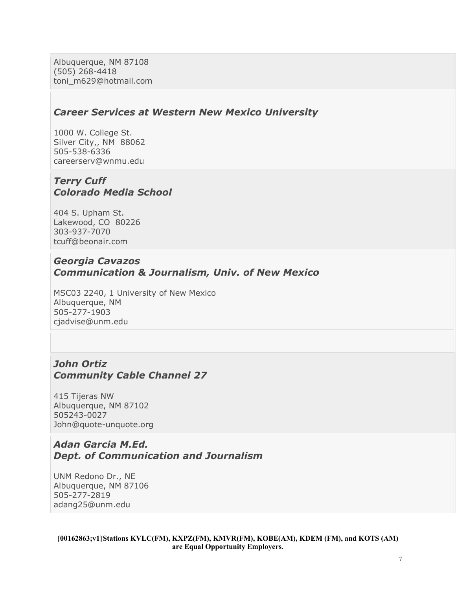Albuquerque, NM 87108 (505) 268-4418 toni\_m629@hotmail.com

#### *Career Services at Western New Mexico University*

1000 W. College St. Silver City,, NM 88062 505-538-6336 careerserv@wnmu.edu

### *Terry Cuff Colorado Media School*

404 S. Upham St. Lakewood, CO 80226 303-937-7070 tcuff@beonair.com

## *Georgia Cavazos Communication & Journalism, Univ. of New Mexico*

MSC03 2240, 1 University of New Mexico Albuquerque, NM 505-277-1903 cjadvise@unm.edu

## *John Ortiz Community Cable Channel 27*

415 Tijeras NW Albuquerque, NM 87102 505243-0027 John@quote-unquote.org

### *Adan Garcia M.Ed. Dept. of Communication and Journalism*

UNM Redono Dr., NE Albuquerque, NM 87106 505-277-2819 adang25@unm.edu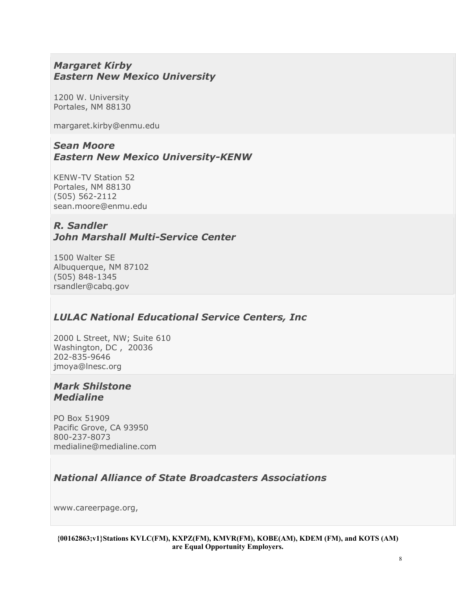## *Margaret Kirby Eastern New Mexico University*

1200 W. University Portales, NM 88130

margaret.kirby@enmu.edu

## *Sean Moore Eastern New Mexico University-KENW*

KENW-TV Station 52 Portales, NM 88130 (505) 562-2112 sean.moore@enmu.edu

## *R. Sandler John Marshall Multi-Service Center*

1500 Walter SE Albuquerque, NM 87102 (505) 848-1345 rsandler@cabq.gov

## *LULAC National Educational Service Centers, Inc*

2000 L Street, NW; Suite 610 Washington, DC , 20036 202-835-9646 jmoya@lnesc.org

## *Mark Shilstone Medialine*

PO Box 51909 Pacific Grove, CA 93950 800-237-8073 medialine@medialine.com

## *National Alliance of State Broadcasters Associations*

www.careerpage.org,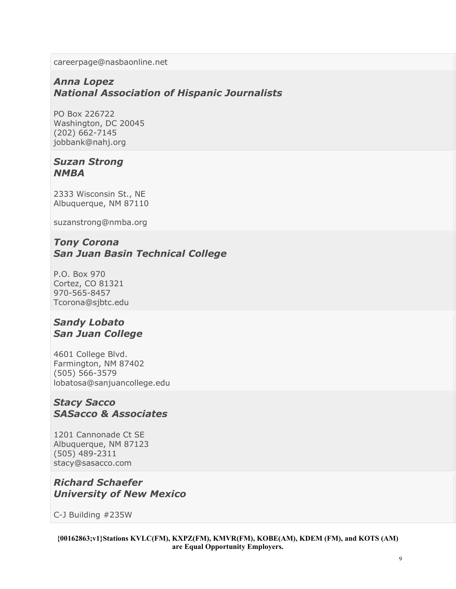careerpage@nasbaonline.net

## *Anna Lopez National Association of Hispanic Journalists*

PO Box 226722 Washington, DC 20045 (202) 662-7145 jobbank@nahj.org

## *Suzan Strong NMBA*

2333 Wisconsin St., NE Albuquerque, NM 87110

suzanstrong@nmba.org

## *Tony Corona San Juan Basin Technical College*

P.O. Box 970 Cortez, CO 81321 970-565-8457 Tcorona@sjbtc.edu

## *Sandy Lobato San Juan College*

4601 College Blvd. Farmington, NM 87402 (505) 566-3579 lobatosa@sanjuancollege.edu

### *Stacy Sacco SASacco & Associates*

1201 Cannonade Ct SE Albuquerque, NM 87123 (505) 489-2311 stacy@sasacco.com

## *Richard Schaefer University of New Mexico*

C-J Building #235W